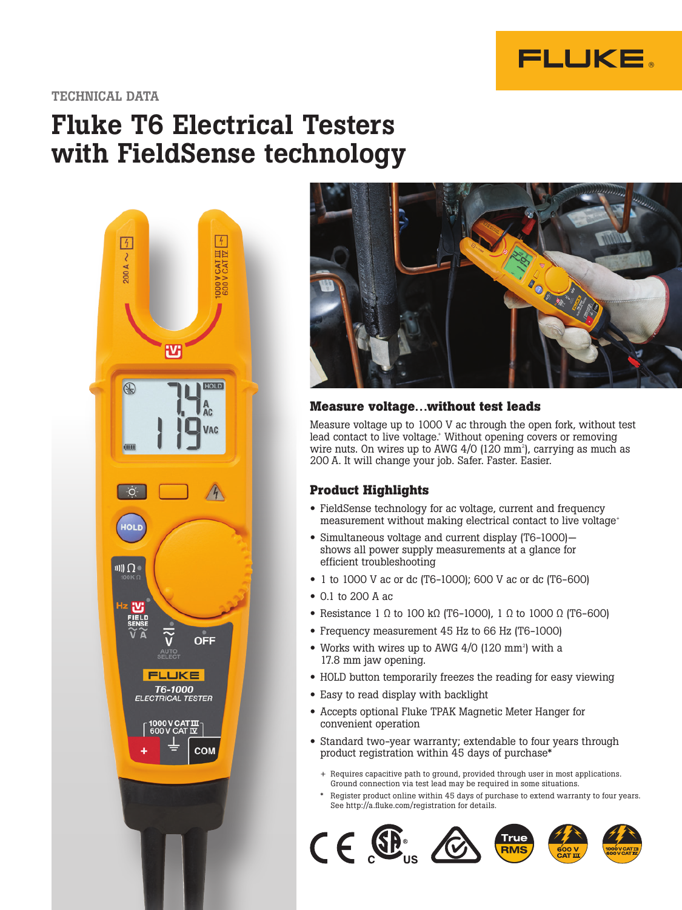

## TECHNICAL DATA

# Fluke T6 Electrical Testers with FieldSense technology





## **Measure voltage…without test leads**

Measure voltage up to 1000 V ac through the open fork, without test lead contact to live voltage.<sup>+</sup> Without opening covers or removing wire nuts. On wires up to AWG 4/0 (120  $\text{mm}^{\text{2}}$ ), carrying as much as 200 A. It will change your job. Safer. Faster. Easier.

## **Product Highlights**

- FieldSense technology for ac voltage, current and frequency measurement without making electrical contact to live voltage<sup>+</sup>
- Simultaneous voltage and current display (T6-1000) shows all power supply measurements at a glance for efficient troubleshooting
- 1 to 1000 V ac or dc (T6-1000); 600 V ac or dc (T6-600)
- 0.1 to 200 A ac
- Resistance 1 Ω to 100 kΩ (T6-1000), 1 Ω to 1000 Ω (T6-600)
- Frequency measurement 45 Hz to 66 Hz (T6-1000)
- Works with wires up to AWG  $4/0$  (120 mm<sup>2</sup>) with a 17.8 mm jaw opening.
- HOLD button temporarily freezes the reading for easy viewing
- Easy to read display with backlight
- Accepts optional Fluke TPAK Magnetic Meter Hanger for convenient operation
- Standard two-year warranty; extendable to four years through product registration within 45 days of purchase\*
	- + Requires capacitive path to ground, provided through user in most applications. Ground connection via test lead may be required in some situations.
	- Register product online within 45 days of purchase to extend warranty to four years. See http://a.fluke.com/registration for details.